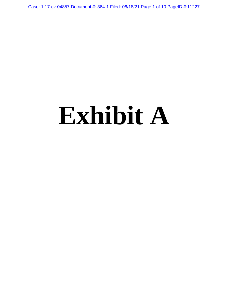Case: 1:17-cv-04857 Document #: 364-1 Filed: 06/18/21 Page 1 of 10 PageID #:11227

# **Exhibit A**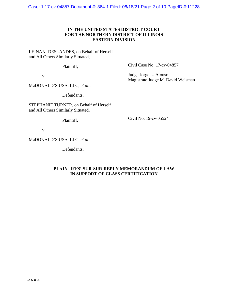Case: 1:17-cv-04857 Document #: 364-1 Filed: 06/18/21 Page 2 of 10 PageID #:11228

# **IN THE UNITED STATES DISTRICT COURT FOR THE NORTHERN DISTRICT OF ILLINOIS EASTERN DIVISION**

LEINANI DESLANDES, on Behalf of Herself and All Others Similarly Situated,

Plaintiff,

v.

McDONALD'S USA, LLC, *et al.*,

Defendants.

STEPHANIE TURNER, on Behalf of Herself and All Others Similarly Situated,

Plaintiff,

v.

McDONALD'S USA, LLC, *et al.*,

Defendants.

Civil Case No. 17-cv-04857

Judge Jorge L. Alonso Magistrate Judge M. David Weisman

Civil No. 19-cv-05524

## **PLAINTIFFS' SUR-SUR-REPLY MEMORANDUM OF LAW IN SUPPORT OF CLASS CERTIFICATION**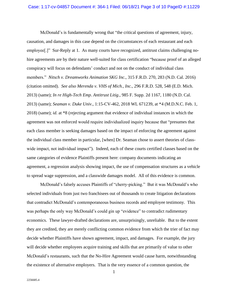McDonald's is fundamentally wrong that "the critical questions of agreement, injury, causation, and damages in this case depend on the circumstances of each restaurant and each employee<sup>[1]</sup>" Sur-Reply at 1. As many courts have recognized, antitrust claims challenging nohire agreements are by their nature well-suited for class certification "because proof of an alleged conspiracy will focus on defendants' conduct and not on the conduct of individual class members." *Nitsch v. Dreamworks Animation SKG Inc.*, 315 F.R.D. 270, 283 (N.D. Cal. 2016) (citation omitted). *See also Merenda v. VHS of Mich., Inc.*, 296 F.R.D. 528, 548 (E.D. Mich. 2013) (same); *In re High-Tech Emp. Antitrust Litig.*, 985 F. Supp. 2d 1167, 1180 (N.D. Cal. 2013) (same); *Seaman v. Duke Univ.*, 1:15-CV-462, 2018 WL 671239, at \*4 (M.D.N.C. Feb. 1, 2018) (same); *id*. at \*8 (rejecting argument that evidence of individual instances in which the agreement was not enforced would require individualized inquiry because that "presumes that each class member is seeking damages based on the impact of enforcing the agreement against the individual class member in particular, [when] Dr. Seaman chose to assert theories of classwide impact, not individual impact"). Indeed, each of these courts certified classes based on the same categories of evidence Plaintiffs present here: company documents indicating an agreement, a regression analysis showing impact, the use of compensation structures as a vehicle to spread wage suppression, and a classwide damages model. All of this evidence is common.

McDonald's falsely accuses Plaintiffs of "cherry-picking." But it was McDonald's who selected individuals from just two franchisees out of thousands to create litigation declarations that contradict McDonald's contemporaneous business records and employee testimony. This was perhaps the only way McDonald's could gin up "evidence" to contradict rudimentary economics. These lawyer-drafted declarations are, unsurprisingly, unreliable. But to the extent they are credited, they are merely conflicting common evidence from which the trier of fact may decide whether Plaintiffs have shown agreement, impact, and damages. For example, the jury will decide whether employees acquire training and skills that are primarily of value to other McDonald's restaurants, such that the No-Hire Agreement would cause harm, notwithstanding the existence of alternative employers. That is the very essence of a common question, the

1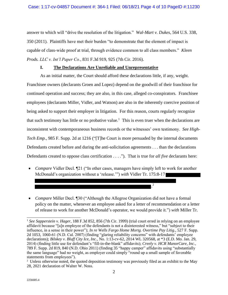answer to which will "drive the resolution of the litigation." *Wal-Mart v. Dukes*, 564 U.S. 338, 350 (2011). Plaintiffs have met their burden "to demonstrate that the element of impact is capable of class-wide proof at trial, through evidence common to all class members." *Kleen Prods. LLC v. Int'l Paper Co.*, 831 F.3d 919, 925 (7th Cir. 2016).

### **I. The Declarations Are Unreliable and Unrepresentative**

As an initial matter, the Court should afford these declarations little, if any, weight. Franchisee owners (declarants Groen and Lopez) depend on the goodwill of their franchisor for continued operation and success; they are also, in this case, alleged co-conspirators. Franchisee employees (declarants Miller, Vidler, and Watson) are also in the inherently coercive position of being asked to support their employer in litigation. For this reason, courts regularly recognize that such testimony has little or no probative value.<sup>1</sup> This is even truer when the declarations are inconsistent with contemporaneous business records or the witnesses' own testimony. *See High-Tech Emp.*, 985 F. Supp. 2d at 1216 ("[T]he Court is more persuaded by the internal documents Defendants created before and during the anti-solicitation agreements . . . than the declarations Defendants created to oppose class certification . . . ."). That is true for *all five* declarants here:

- *Compare* Vidler Decl. 121 ("In other cases, managers have simply left to work for another McDonald's organization without a 'release.'") *with* Vidler Tr. 175:8-17
- *Compare* Miller Decl. [30] ("Although the Allegroe Organization did not have a formal policy on the matter, whenever an employee asked for a letter of recommendation or a letter of release to work for another McDonald's operator, we would provide it.") *with* Miller Tr.

. 2

<sup>&</sup>lt;sup>1</sup> See Sapperstein v. Hager, 188 F.3d 852, 856 (7th Cir. 1999) (trial court erred in relying on an employee affidavit because "[a]n employee of the defendants is not a disinterested witness," but "subject to their influence, in a sense in their power"); *In re Wells Fargo Home Mortg. Overtime Pay Litig.*, 527 F. Supp. 2d 1053, 1060-61 (N.D. Cal. 2007) (finding "glaring reliability concerns" with defendants' employee declarations); *Bilskey v. Bluff City Ice, Inc.*, No. 1:13-cv-62, 2014 WL 320568, at \*3 (E.D. Mo. Jan. 29, 2014) (finding little use for defendant's "fill-in-the-blank" affidavits); *Creely v. HCR ManorCare, Inc.*, 789 F. Supp. 2d 819, 840 (N.D. Ohio 2011) (finding 35 "happy camper" affidavits using "substantially the same language" had no weight, as employer could simply "round up a small sample of favorable statements from employees").

<sup>&</sup>lt;sup>2</sup> Unless otherwise noted, the quoted deposition testimony was previously filed as an exhibit to the May 28, 2021 declaration of Walter W. Noss.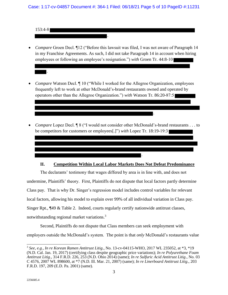153:4-8

.

• *Compare* Groen Decl. ¶12 ("Before this lawsuit was filed, I was not aware of Paragraph 14 in my Franchise Agreements. As such, I did not take Paragraph 14 in account when hiring employees or following an employee's resignation.") *with* Groen Tr. 44:8-10

.

- *Compare* Watson Decl.  $\P$  10 ("While I worked for the Allegroe Organization, employees frequently left to work at other McDonald's-brand restaurants owned and operated by operators other than the Allegroe Organization.") *with* Watson Tr. 86:20-87:5
- *Compare* Lopez Decl. ¶ 8 ("I would not consider other McDonald's-brand restaurants . . . to be competitors for customers or employees[.]") *with* Lopez Tr. 18:19-19:3

.



#### **II. Competition Within Local Labor Markets Does Not Defeat Predominance**

The declarants' testimony that wages differed by area is in line with, and does not undermine, Plaintiffs' theory. First, Plaintiffs do not dispute that local factors partly determine Class pay. That is why Dr. Singer's regression model includes control variables for relevant local factors, allowing his model to explain over 99% of all individual variation in Class pay. Singer Rpt., ¶49 & Table 2. Indeed, courts regularly certify nationwide antitrust classes, notwithstanding regional market variations.<sup>3</sup>

Second, Plaintiffs do not dispute that Class members can seek employment with employers outside the McDonald's system. The point is that *only* McDonald's restaurants value

<sup>3</sup> *See*, *e.g.*, *In re Korean Ramen Antitrust Litig*., No. 13-cv-04115-WHO, 2017 WL 235052, at \*3, \*19 (N.D. Cal. Jan. 19, 2017) (certifying class despite geographic price variations); *In re Polyurethane Foam Antitrust Litig*., 314 F.R.D. 226, 253 (N.D. Ohio 2014) (same); *In re Sulfuric Acid Antitrust Litig*., No. 03 C 4576, 2007 WL 898600, at \*7 (N.D. Ill. Mar. 21, 2007) (same); *In re Linerboard Antitrust Litig*., 203 F.R.D. 197, 209 (E.D. Pa. 2001) (same).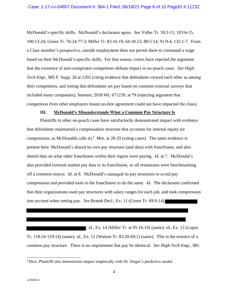McDonald's-specific skills. McDonald's declarants agree. *See* Vidler Tr. 59:2-11, 103:6-15, 100:13-24; Groen Tr. 76:24-77:3; Miller Tr. 83:16-19, 64:18-23, 89:5-14, 91:9-4, 132:1-7. From a Class member's perspective, outside employment does not permit them to command a wage based on their McDonald's-specific skills. For that reason, courts have rejected the argument that the existence of non-conspirator competitors defeats impact in no-poach cases. *See High-Tech Emp.*, 985 F. Supp. 2d at 1202 (citing evidence that defendants viewed each other as *among*  their competitors, and noting that defendants set pay based on common external surveys that included many companies); *Seaman*, 2018 WL 671239, at \*9 (rejecting argument that competition from other employers meant no-hire agreement could not have impacted the class).

#### **III. McDonald's Misunderstands What a Common Pay Structure Is**

Plaintiffs in other no-poach cases have satisfactorily demonstrated impact with evidence that defendants maintained a compensation structure that accounts for internal equity (or compression, as McDonalds calls it).<sup>4</sup> Mot. at  $28-29$  (citing cases). The same evidence is present here: McDonald's shared its own pay structure (and data) with franchisees, and also shared data on what other franchisees within their region were paying. *Id*. at 7. McDonald's also provided external market pay data to its franchisees, so all restaurants were benchmarking off a common source. *Id*. at 8. McDonald's managed its pay structures to avoid pay compression and provided tools to the franchisees to do the same. *Id*. The declarants confirmed that their organizations used pay structures with salary ranges for each job, and took compression into account when setting pay. *See* Brandt Decl., Ex. 11 (Groen Tr. 69:9-14)

; *id.*, Ex. 14 (Miller Tr. at 95:16-19) (same); *id.*, Ex. 13 (Lopez Tr. 118:24-119:14) (same); *id.*, Ex. 12 (Watson Tr. 83:20-84:1) (same). This is the essence of a common pay structure. There is no requirement that pay be identical. *See High-Tech Emp.*, 985

<sup>4</sup> Here, Plaintiffs also demonstrate impact empirically with Dr. Singer's predictive model.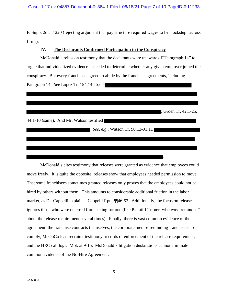F. Supp. 2d at 1220 (rejecting argument that pay structure required wages to be "lockstep" across firms).

#### **IV. The Declarants Confirmed Participation in the Conspiracy**

McDonald's relies on testimony that the declarants were unaware of "Paragraph 14" to argue that individualized evidence is needed to determine whether any given employer joined the conspiracy. But every franchisee agreed to abide by the franchise agreements, including Paragraph 14. *See* Lopez Tr. 154:14-155:4

; Groen Tr. 42:1-25,

.

44:1-10 (same). And Mr. Watson testified

*See, e.g., Watson Tr. 90:13-91:11* 

McDonald's cites testimony that releases were granted as evidence that employees could move freely. It is quite the opposite: releases show that employees needed permission to move. That some franchisees sometimes granted releases only proves that the employees could not be hired by others without them. This amounts to considerable additional friction in the labor market, as Dr. Cappelli explains. Cappelli Rpt., ¶¶46-52. Additionally, the focus on releases ignores those who were deterred from asking for one (like Plaintiff Turner, who was "reminded" about the release requirement several times). Finally, there is vast common evidence of the agreement: the franchise contracts themselves, the corporate memos reminding franchisees to comply, McOpCo lead recruiter testimony, records of enforcement of the release requirement, and the HRC call logs. Mot. at 9-15. McDonald's litigation declarations cannot eliminate common evidence of the No-Hire Agreement.

5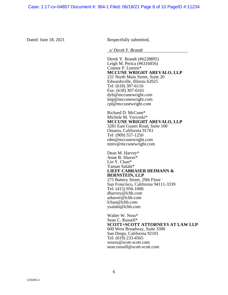Dated: June 18, 2021 Respectfully submitted,

*s/ Derek Y. Brandt*

Derek Y. Brandt (#6228895) Leigh M. Perica (#6316856) Connor P. Lemire\* **MCCUNE WRIGHT AREVALO, LLP** 231 North Main Street, Suite 20 Edwardsville, Illinois 62025 Tel: (618) 307-6116 Fax: (618) 307-6161 dyb@mccunewright.com lmp@mccunewright.com cpl@mccunewright.com

Richard D. McCune\* Michele M. Vercoski\* **MCCUNE WRIGHT AREVALO, LLP** 3281 East Guasti Road, Suite 100 Ontario, California 91761 Tel: (909) 557-1250 rdm@mccunewright.com mmv@mccunewright.com

Dean M. Harvey\* Anne B. Shaver\* Lin Y. Chan\* Yaman Salahi\* **LIEFF CABRASER HEIMANN & BERNSTEIN, LLP** 275 Battery Street, 29th Floor San Francisco, California 94111-3339 Tel: (415) 956-1000 dharvey@lchb.com ashaver@lchb.com lchan@lchb.com ysalahi@lchb.com

Walter W. Noss\* Sean C. Russell\* **SCOTT+SCOTT ATTORNEYS AT LAW LLP** 600 West Broadway, Suite 3300 San Diego, California 92101 Tel: (619) 233-4565 wnoss@scott-scott.com sean.russell@scott-scott.com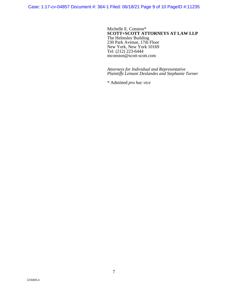Case: 1:17-cv-04857 Document #: 364-1 Filed: 06/18/21 Page 9 of 10 PageID #:11235

Michelle E. Conston\* **SCOTT+SCOTT ATTORNEYS AT LAW LLP** The Helmsley Building 230 Park Avenue, 17th Floor New York, New York 10169 Tel: (212) 223-6444 mconston@scott-scott.com

*Attorneys for Individual and Representative Plaintiffs Leinani Deslandes and Stephanie Turner*

\* Admitted *pro hac vice*